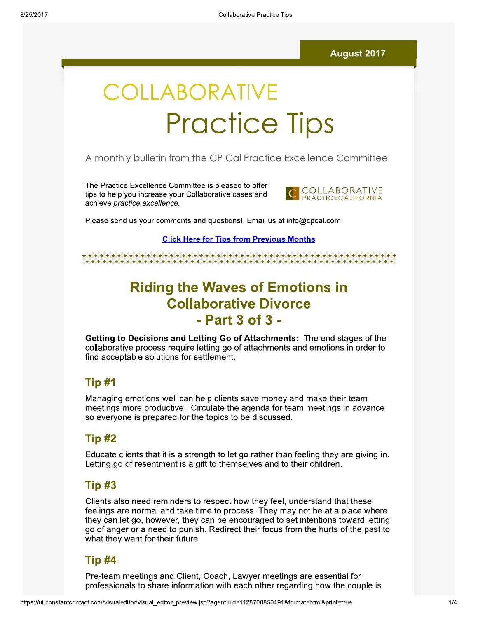#### **August 2017**

# COLLABORATIVE **Practice Tips**

#### A monthly bulletin from the CP Cal Practice Excellence Committee

The Practice Excellence Committee is pleased to offer tips to help you increase your Collaborative cases and achieve practice excellence.



Please send us your comments and questions! Email us at info@cpcal.com

**Click Here for Tips from Previous Months** 

# **Riding the Waves of Emotions in Collaborative Divorce** - Part 3 of 3 -

Getting to Decisions and Letting Go of Attachments: The end stages of the collaborative process require letting go of attachments and emotions in order to find acceptable solutions for settlement.

#### Tip #1

Managing emotions well can help clients save money and make their team meetings more productive. Circulate the agenda for team meetings in advance so everyone is prepared for the topics to be discussed.

#### Tip #2

Educate clients that it is a strength to let go rather than feeling they are giving in. Letting go of resentment is a gift to themselves and to their children.

#### Tip #3

Clients also need reminders to respect how they feel, understand that these feelings are normal and take time to process. They may not be at a place where they can let go, however, they can be encouraged to set intentions toward letting go of anger or a need to punish. Redirect their focus from the hurts of the past to what they want for their future.

#### Tip #4

Pre-team meetings and Client, Coach, Lawyer meetings are essential for professionals to share information with each other regarding how the couple is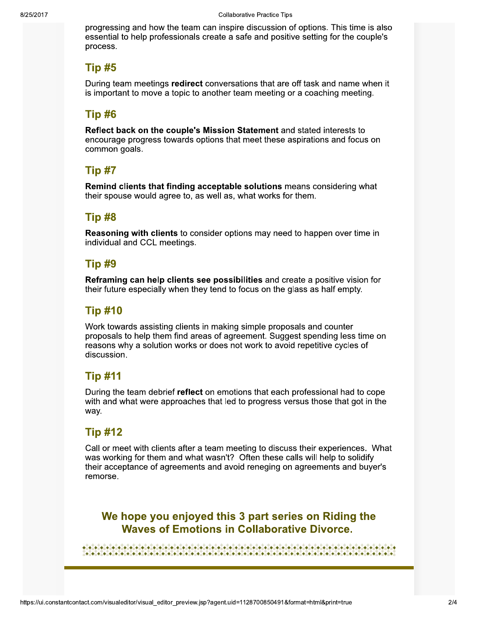progressing and how the team can inspire discussion of options. This time is also essential to help professionals create a safe and positive setting for the couple's process.

#### Tip #5

During team meetings redirect conversations that are off task and name when it is important to move a topic to another team meeting or a coaching meeting.

### Tip #6

Reflect back on the couple's Mission Statement and stated interests to encourage progress towards options that meet these aspirations and focus on common goals.

# Tip #7

Remind clients that finding acceptable solutions means considering what their spouse would agree to, as well as, what works for them.

# Tip #8

**Reasoning with clients** to consider options may need to happen over time in individual and CCL meetings.

#### Tip #9

Reframing can help clients see possibilities and create a positive vision for their future especially when they tend to focus on the glass as half empty.

### **Tip #10**

Work towards assisting clients in making simple proposals and counter proposals to help them find areas of agreement. Suggest spending less time on reasons why a solution works or does not work to avoid repetitive cycles of discussion.

# **Tip #11**

During the team debrief reflect on emotions that each professional had to cope with and what were approaches that led to progress versus those that got in the way.

# **Tip #12**

Call or meet with clients after a team meeting to discuss their experiences. What was working for them and what wasn't? Often these calls will help to solidify their acceptance of agreements and avoid reneging on agreements and buyer's remorse.

We hope you enjoyed this 3 part series on Riding the **Waves of Emotions in Collaborative Divorce.**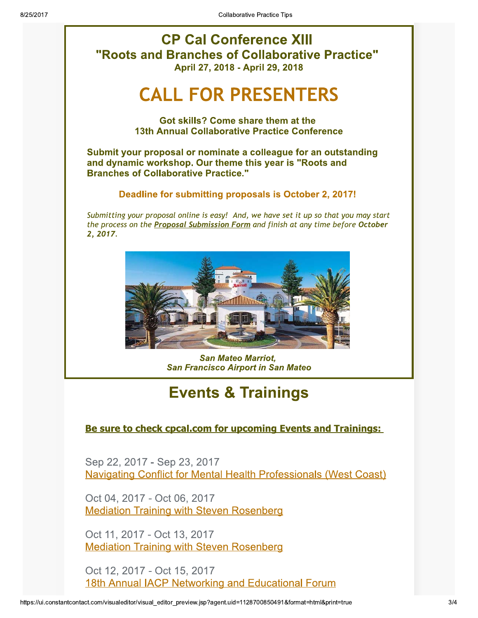**CP Cal Conference XIII** "Roots and Branches of Collaborative Practice" April 27, 2018 - April 29, 2018

# **CALL FOR PRESENTERS**

Got skills? Come share them at the **13th Annual Collaborative Practice Conference** 

Submit your proposal or nominate a colleague for an outstanding and dynamic workshop. Our theme this year is "Roots and **Branches of Collaborative Practice."** 

#### Deadline for submitting proposals is October 2, 2017!

Submitting your proposal online is easy! And, we have set it up so that you may start the process on the Proposal Submission Form and finish at any time before October 2, 2017.



**San Mateo Marriot. San Francisco Airport in San Mateo** 

# **Events & Trainings**

#### Be sure to check cpcal.com for upcoming Events and Trainings:

Sep 22, 2017 - Sep 23, 2017 **Navigating Conflict for Mental Health Professionals (West Coast)** 

Oct 04, 2017 - Oct 06, 2017 **Mediation Training with Steven Rosenberg** 

Oct 11, 2017 - Oct 13, 2017 **Mediation Training with Steven Rosenberg** 

Oct 12, 2017 - Oct 15, 2017 18th Annual IACP Networking and Educational Forum